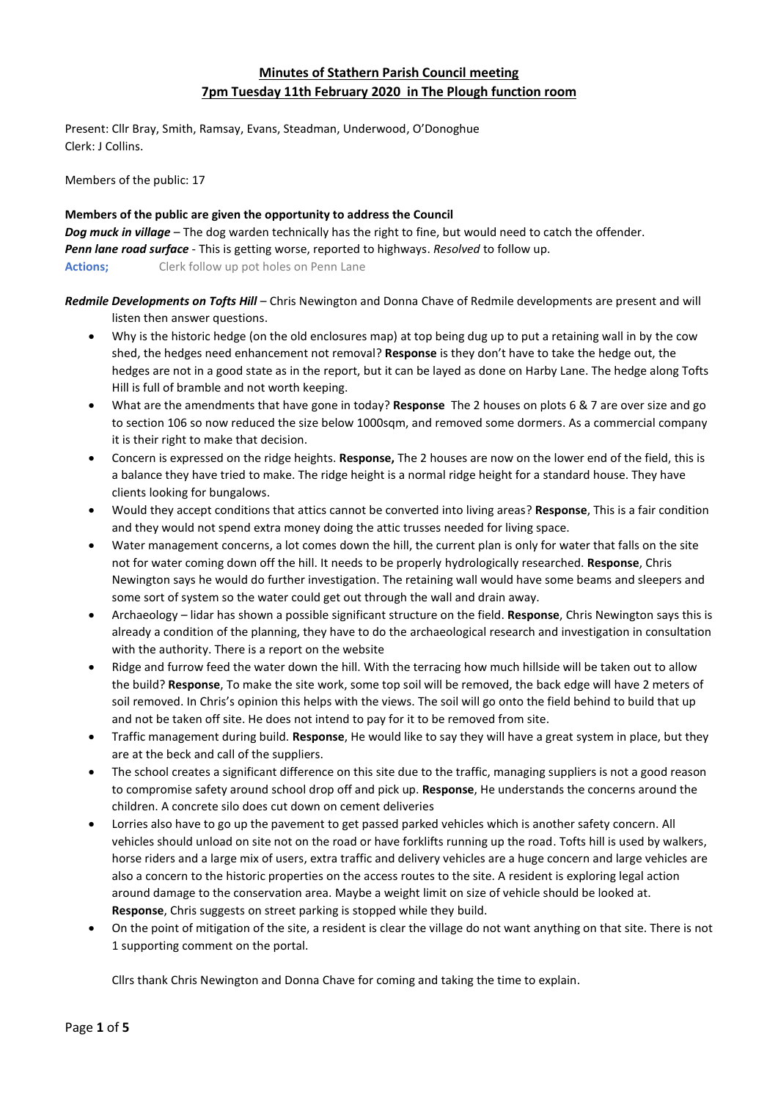# **Minutes of Stathern Parish Council meeting 7pm Tuesday 11th February 2020 in The Plough function room**

Present: Cllr Bray, Smith, Ramsay, Evans, Steadman, Underwood, O'Donoghue Clerk: J Collins.

Members of the public: 17

# **Members of the public are given the opportunity to address the Council**

*Dog muck in village* – The dog warden technically has the right to fine, but would need to catch the offender. *Penn lane road surface* - This is getting worse, reported to highways. *Resolved* to follow up. **Actions;** Clerk follow up pot holes on Penn Lane

*Redmile Developments on Tofts Hill* – Chris Newington and Donna Chave of Redmile developments are present and will listen then answer questions.

- Why is the historic hedge (on the old enclosures map) at top being dug up to put a retaining wall in by the cow shed, the hedges need enhancement not removal? **Response** is they don't have to take the hedge out, the hedges are not in a good state as in the report, but it can be layed as done on Harby Lane. The hedge along Tofts Hill is full of bramble and not worth keeping.
- What are the amendments that have gone in today? **Response** The 2 houses on plots 6 & 7 are over size and go to section 106 so now reduced the size below 1000sqm, and removed some dormers. As a commercial company it is their right to make that decision.
- Concern is expressed on the ridge heights. **Response,** The 2 houses are now on the lower end of the field, this is a balance they have tried to make. The ridge height is a normal ridge height for a standard house. They have clients looking for bungalows.
- Would they accept conditions that attics cannot be converted into living areas? **Response**, This is a fair condition and they would not spend extra money doing the attic trusses needed for living space.
- Water management concerns, a lot comes down the hill, the current plan is only for water that falls on the site not for water coming down off the hill. It needs to be properly hydrologically researched. **Response**, Chris Newington says he would do further investigation. The retaining wall would have some beams and sleepers and some sort of system so the water could get out through the wall and drain away.
- Archaeology lidar has shown a possible significant structure on the field. **Response**, Chris Newington says this is already a condition of the planning, they have to do the archaeological research and investigation in consultation with the authority. There is a report on the website
- Ridge and furrow feed the water down the hill. With the terracing how much hillside will be taken out to allow the build? **Response**, To make the site work, some top soil will be removed, the back edge will have 2 meters of soil removed. In Chris's opinion this helps with the views. The soil will go onto the field behind to build that up and not be taken off site. He does not intend to pay for it to be removed from site.
- Traffic management during build. **Response**, He would like to say they will have a great system in place, but they are at the beck and call of the suppliers.
- The school creates a significant difference on this site due to the traffic, managing suppliers is not a good reason to compromise safety around school drop off and pick up. **Response**, He understands the concerns around the children. A concrete silo does cut down on cement deliveries
- Lorries also have to go up the pavement to get passed parked vehicles which is another safety concern. All vehicles should unload on site not on the road or have forklifts running up the road. Tofts hill is used by walkers, horse riders and a large mix of users, extra traffic and delivery vehicles are a huge concern and large vehicles are also a concern to the historic properties on the access routes to the site. A resident is exploring legal action around damage to the conservation area. Maybe a weight limit on size of vehicle should be looked at. **Response**, Chris suggests on street parking is stopped while they build.
- On the point of mitigation of the site, a resident is clear the village do not want anything on that site. There is not 1 supporting comment on the portal.

Cllrs thank Chris Newington and Donna Chave for coming and taking the time to explain.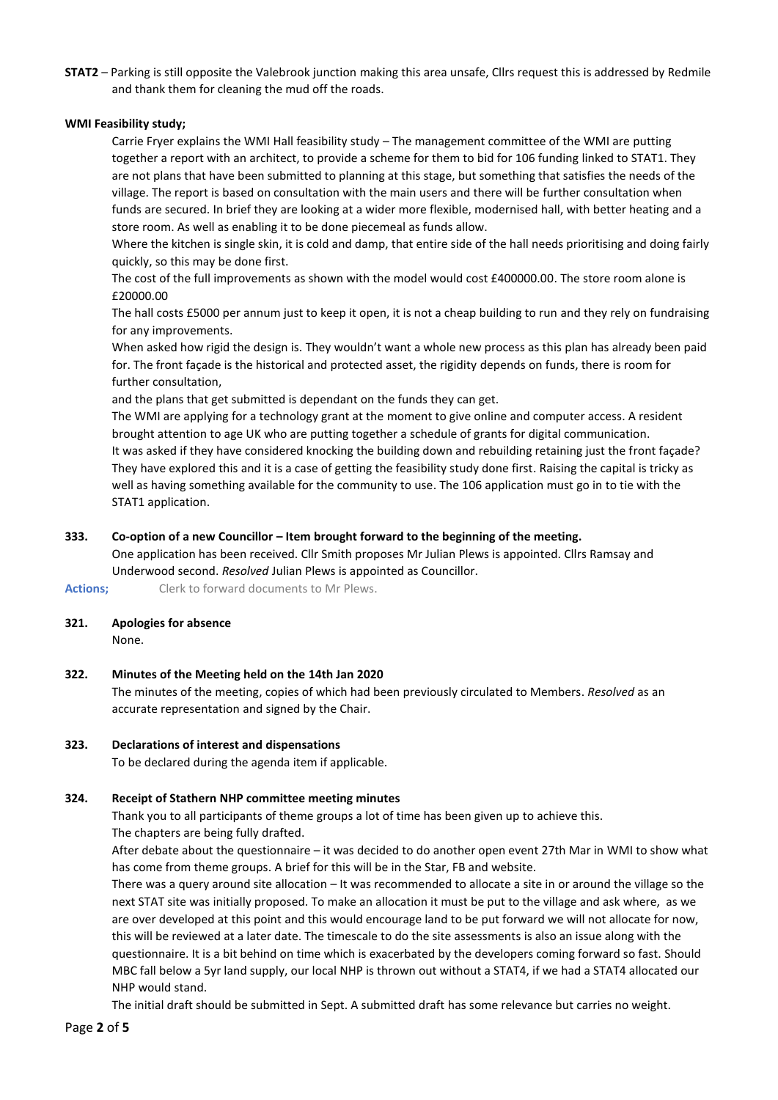**STAT2** – Parking is still opposite the Valebrook junction making this area unsafe, Cllrs request this is addressed by Redmile and thank them for cleaning the mud off the roads.

# **WMI Feasibility study;**

Carrie Fryer explains the WMI Hall feasibility study – The management committee of the WMI are putting together a report with an architect, to provide a scheme for them to bid for 106 funding linked to STAT1. They are not plans that have been submitted to planning at this stage, but something that satisfies the needs of the village. The report is based on consultation with the main users and there will be further consultation when funds are secured. In brief they are looking at a wider more flexible, modernised hall, with better heating and a store room. As well as enabling it to be done piecemeal as funds allow.

Where the kitchen is single skin, it is cold and damp, that entire side of the hall needs prioritising and doing fairly quickly, so this may be done first.

The cost of the full improvements as shown with the model would cost £400000.00. The store room alone is £20000.00

The hall costs £5000 per annum just to keep it open, it is not a cheap building to run and they rely on fundraising for any improvements.

When asked how rigid the design is. They wouldn't want a whole new process as this plan has already been paid for. The front façade is the historical and protected asset, the rigidity depends on funds, there is room for further consultation,

and the plans that get submitted is dependant on the funds they can get.

The WMI are applying for a technology grant at the moment to give online and computer access. A resident brought attention to age UK who are putting together a schedule of grants for digital communication. It was asked if they have considered knocking the building down and rebuilding retaining just the front façade? They have explored this and it is a case of getting the feasibility study done first. Raising the capital is tricky as well as having something available for the community to use. The 106 application must go in to tie with the STAT1 application.

# **333. Co-option of a new Councillor – Item brought forward to the beginning of the meeting.**

One application has been received. Cllr Smith proposes Mr Julian Plews is appointed. Cllrs Ramsay and Underwood second. *Resolved* Julian Plews is appointed as Councillor.

**Actions;** Clerk to forward documents to Mr Plews.

**321. Apologies for absence**

None.

**322. Minutes of the Meeting held on the 14th Jan 2020** The minutes of the meeting, copies of which had been previously circulated to Members. *Resolved* as an accurate representation and signed by the Chair.

# **323. Declarations of interest and dispensations**

To be declared during the agenda item if applicable.

# **324. Receipt of Stathern NHP committee meeting minutes**

Thank you to all participants of theme groups a lot of time has been given up to achieve this. The chapters are being fully drafted.

After debate about the questionnaire – it was decided to do another open event 27th Mar in WMI to show what has come from theme groups. A brief for this will be in the Star, FB and website.

There was a query around site allocation – It was recommended to allocate a site in or around the village so the next STAT site was initially proposed. To make an allocation it must be put to the village and ask where, as we are over developed at this point and this would encourage land to be put forward we will not allocate for now, this will be reviewed at a later date. The timescale to do the site assessments is also an issue along with the questionnaire. It is a bit behind on time which is exacerbated by the developers coming forward so fast. Should MBC fall below a 5yr land supply, our local NHP is thrown out without a STAT4, if we had a STAT4 allocated our NHP would stand.

The initial draft should be submitted in Sept. A submitted draft has some relevance but carries no weight.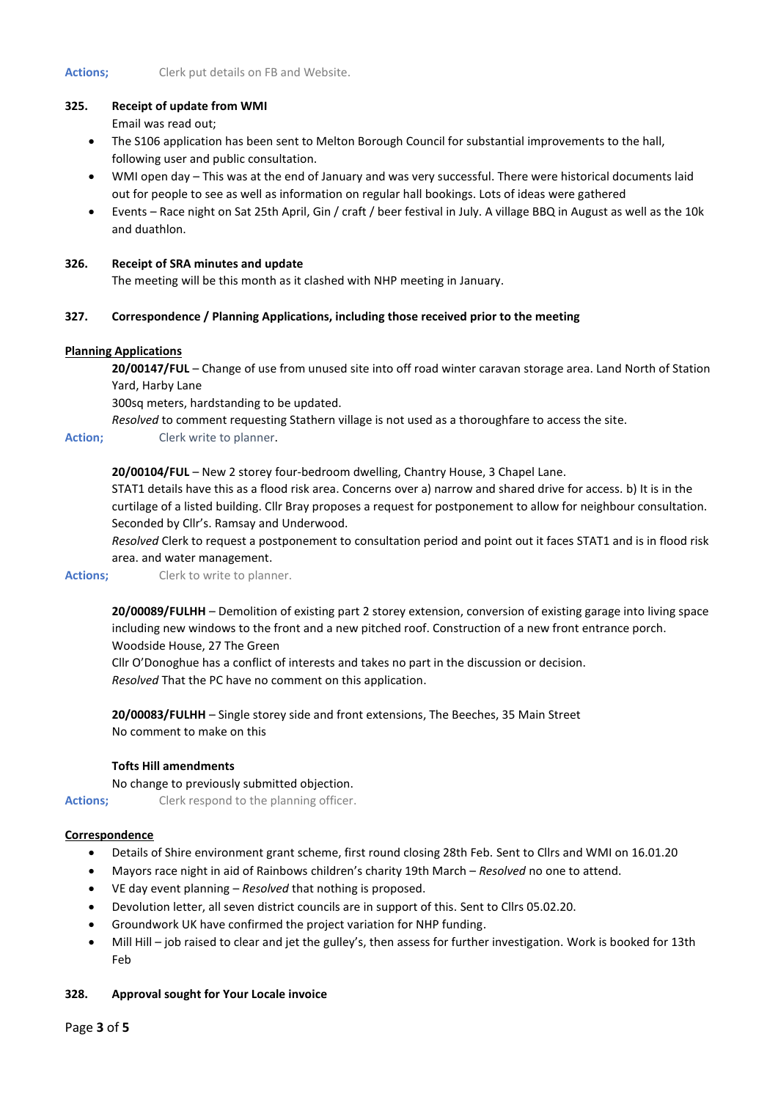# **325. Receipt of update from WMI**

Email was read out;

- The S106 application has been sent to Melton Borough Council for substantial improvements to the hall, following user and public consultation.
- WMI open day This was at the end of January and was very successful. There were historical documents laid out for people to see as well as information on regular hall bookings. Lots of ideas were gathered
- Events Race night on Sat 25th April, Gin / craft / beer festival in July. A village BBQ in August as well as the 10k and duathlon.

### **326. Receipt of SRA minutes and update**

The meeting will be this month as it clashed with NHP meeting in January.

# **327. Correspondence / Planning Applications, including those received prior to the meeting**

#### **Planning Applications**

**20/00147/FUL** – Change of use from unused site into off road winter caravan storage area. Land North of Station Yard, Harby Lane

300sq meters, hardstanding to be updated.

*Resolved* to comment requesting Stathern village is not used as a thoroughfare to access the site.

**Action;** Clerk write to planner.

# **20/00104/FUL** – New 2 storey four-bedroom dwelling, Chantry House, 3 Chapel Lane.

STAT1 details have this as a flood risk area. Concerns over a) narrow and shared drive for access. b) It is in the curtilage of a listed building. Cllr Bray proposes a request for postponement to allow for neighbour consultation. Seconded by Cllr's. Ramsay and Underwood.

*Resolved* Clerk to request a postponement to consultation period and point out it faces STAT1 and is in flood risk area. and water management.

Actions; Clerk to write to planner.

**20/00089/FULHH** – Demolition of existing part 2 storey extension, conversion of existing garage into living space including new windows to the front and a new pitched roof. Construction of a new front entrance porch. Woodside House, 27 The Green

Cllr O'Donoghue has a conflict of interests and takes no part in the discussion or decision. *Resolved* That the PC have no comment on this application.

**20/00083/FULHH** – Single storey side and front extensions, The Beeches, 35 Main Street No comment to make on this

## **Tofts Hill amendments**

#### No change to previously submitted objection.

Actions; Clerk respond to the planning officer.

#### **Correspondence**

- Details of Shire environment grant scheme, first round closing 28th Feb. Sent to Cllrs and WMI on 16.01.20
- Mayors race night in aid of Rainbows children's charity 19th March *Resolved* no one to attend.
- VE day event planning *Resolved* that nothing is proposed.
- Devolution letter, all seven district councils are in support of this. Sent to Cllrs 05.02.20.
- Groundwork UK have confirmed the project variation for NHP funding.
- Mill Hill job raised to clear and jet the gulley's, then assess for further investigation. Work is booked for 13th Feb

#### **328. Approval sought for Your Locale invoice**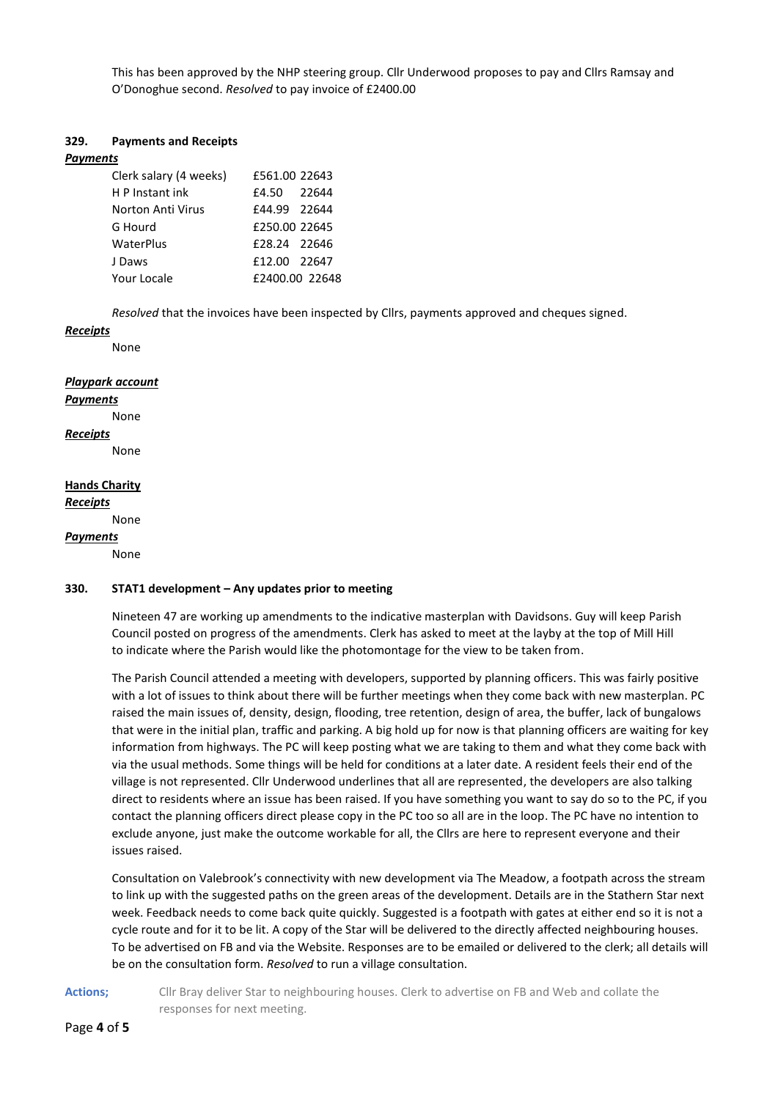This has been approved by the NHP steering group. Cllr Underwood proposes to pay and Cllrs Ramsay and O'Donoghue second. *Resolved* to pay invoice of £2400.00

# **329. Payments and Receipts**

#### *Payments*

| Clerk salary (4 weeks) | £561.00 22643  |       |
|------------------------|----------------|-------|
| H P Instant ink        | £4.50          | 22644 |
| Norton Anti Virus      | £44.99 22644   |       |
| G Hourd                | £250.00 22645  |       |
| WaterPlus              | £28.24 22646   |       |
| J Daws                 | £12.00 22647   |       |
| Your Locale            | £2400.00 22648 |       |

*Resolved* that the invoices have been inspected by Cllrs, payments approved and cheques signed.

#### *Receipts*

None

#### *Playpark account*

#### *Payments*

None

*Receipts*

None

# **Hands Charity**

*Receipts*

None

# *Payments*

None

# **330. STAT1 development – Any updates prior to meeting**

Nineteen 47 are working up amendments to the indicative masterplan with Davidsons. Guy will keep Parish Council posted on progress of the amendments. Clerk has asked to meet at the layby at the top of Mill Hill to indicate where the Parish would like the photomontage for the view to be taken from.

The Parish Council attended a meeting with developers, supported by planning officers. This was fairly positive with a lot of issues to think about there will be further meetings when they come back with new masterplan. PC raised the main issues of, density, design, flooding, tree retention, design of area, the buffer, lack of bungalows that were in the initial plan, traffic and parking. A big hold up for now is that planning officers are waiting for key information from highways. The PC will keep posting what we are taking to them and what they come back with via the usual methods. Some things will be held for conditions at a later date. A resident feels their end of the village is not represented. Cllr Underwood underlines that all are represented, the developers are also talking direct to residents where an issue has been raised. If you have something you want to say do so to the PC, if you contact the planning officers direct please copy in the PC too so all are in the loop. The PC have no intention to exclude anyone, just make the outcome workable for all, the Cllrs are here to represent everyone and their issues raised.

Consultation on Valebrook's connectivity with new development via The Meadow, a footpath across the stream to link up with the suggested paths on the green areas of the development. Details are in the Stathern Star next week. Feedback needs to come back quite quickly. Suggested is a footpath with gates at either end so it is not a cycle route and for it to be lit. A copy of the Star will be delivered to the directly affected neighbouring houses. To be advertised on FB and via the Website. Responses are to be emailed or delivered to the clerk; all details will be on the consultation form. *Resolved* to run a village consultation.

Actions; Cllr Bray deliver Star to neighbouring houses. Clerk to advertise on FB and Web and collate the responses for next meeting.